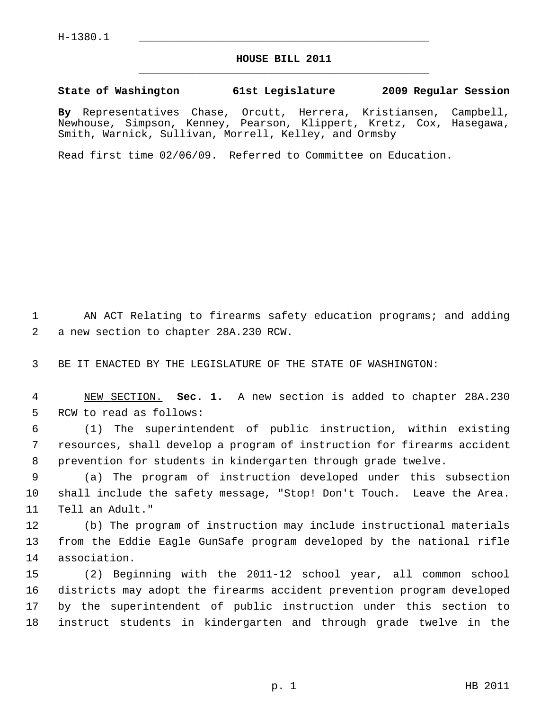## **HOUSE BILL 2011** \_\_\_\_\_\_\_\_\_\_\_\_\_\_\_\_\_\_\_\_\_\_\_\_\_\_\_\_\_\_\_\_\_\_\_\_\_\_\_\_\_\_\_\_\_

## **State of Washington 61st Legislature 2009 Regular Session**

**By** Representatives Chase, Orcutt, Herrera, Kristiansen, Campbell, Newhouse, Simpson, Kenney, Pearson, Klippert, Kretz, Cox, Hasegawa, Smith, Warnick, Sullivan, Morrell, Kelley, and Ormsby

Read first time 02/06/09. Referred to Committee on Education.

 1 AN ACT Relating to firearms safety education programs; and adding 2 a new section to chapter 28A.230 RCW.

3 BE IT ENACTED BY THE LEGISLATURE OF THE STATE OF WASHINGTON:

 4 NEW SECTION. **Sec. 1.** A new section is added to chapter 28A.230 5 RCW to read as follows:

 6 (1) The superintendent of public instruction, within existing 7 resources, shall develop a program of instruction for firearms accident 8 prevention for students in kindergarten through grade twelve.

 9 (a) The program of instruction developed under this subsection 10 shall include the safety message, "Stop! Don't Touch. Leave the Area. 11 Tell an Adult."

12 (b) The program of instruction may include instructional materials 13 from the Eddie Eagle GunSafe program developed by the national rifle 14 association.

15 (2) Beginning with the 2011-12 school year, all common school 16 districts may adopt the firearms accident prevention program developed 17 by the superintendent of public instruction under this section to 18 instruct students in kindergarten and through grade twelve in the